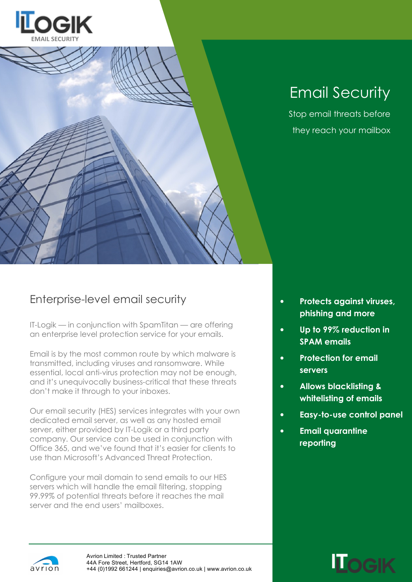



# Email Security

Stop email threats before they reach your mailbox

### Enterprise-level email security

IT-Logik — in conjunction with SpamTitan — are offering an enterprise level protection service for your emails.

Email is by the most common route by which malware is transmitted, including viruses and ransomware. While essential, local anti-virus protection may not be enough, and it's unequivocally business-critical that these threats don't make it through to your inboxes.

Our email security (HES) services integrates with your own dedicated email server, as well as any hosted email server, either provided by IT-Logik or a third party company. Our service can be used in conjunction with Office 365, and we've found that it's easier for clients to use than Microsoft's Advanced Threat Protection.

Configure your mail domain to send emails to our HES servers which will handle the email filtering, stopping 99.99% of potential threats before it reaches the mail server and the end users' mailboxes.

- Protects against viruses, phishing and more
- Up to 99% reduction in SPAM emails
- Protection for email servers
- Allows blacklisting & whitelisting of emails
- Easy-to-use control panel
- **Email avarantine** reporting